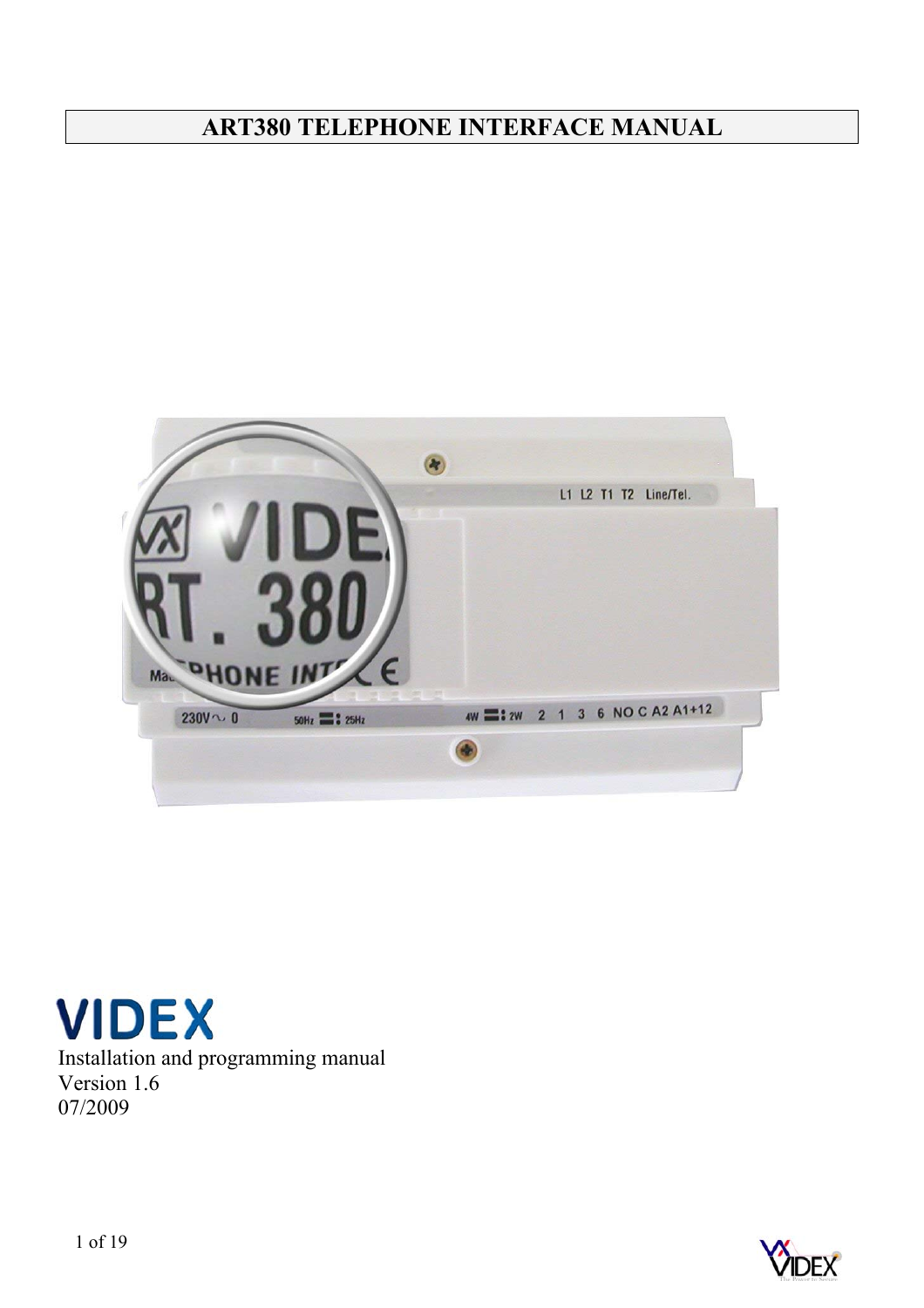# **ART380 TELEPHONE INTERFACE MANUAL**





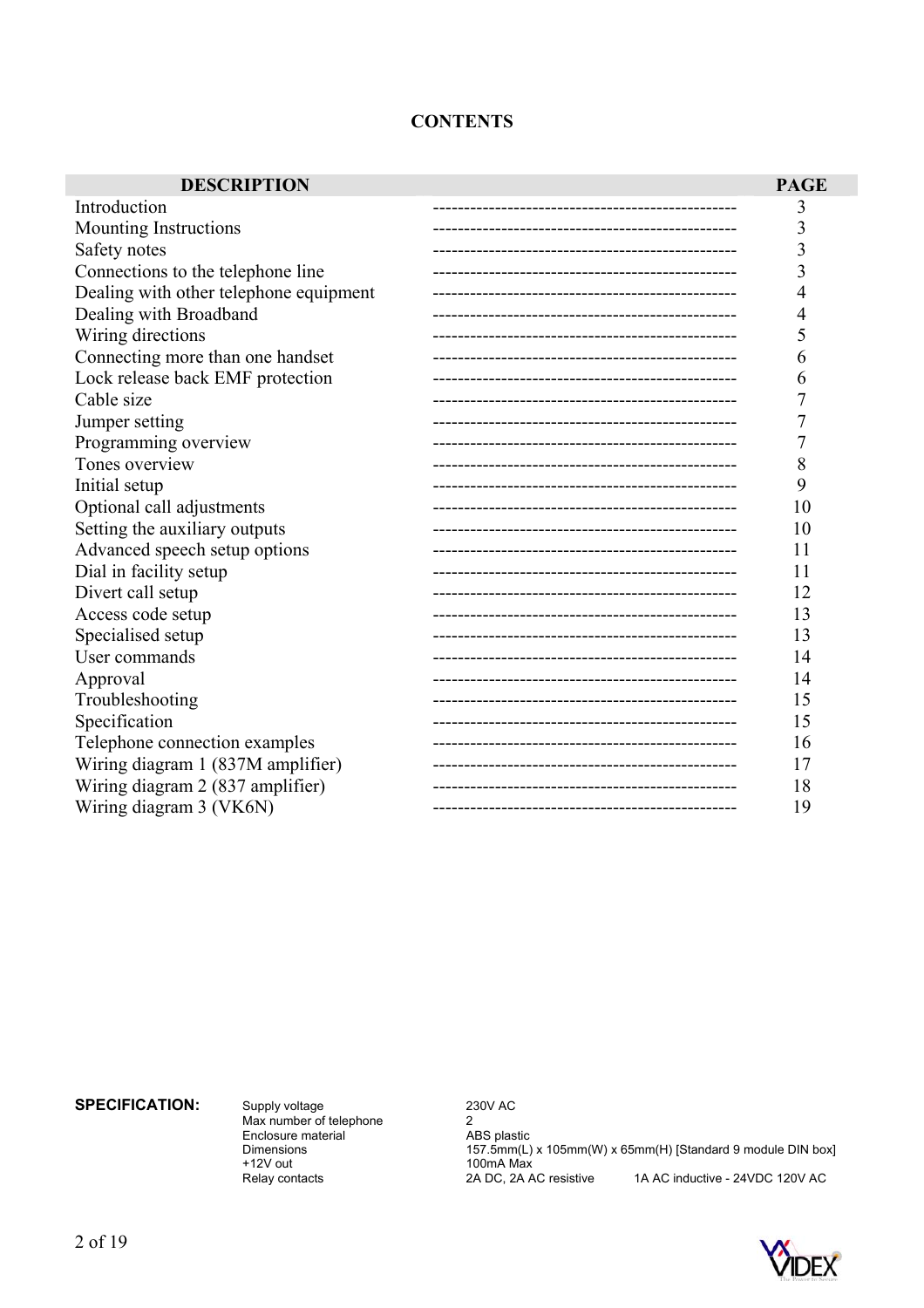## **CONTENTS**

| <b>DESCRIPTION</b>                     |                             | <b>PAGE</b> |
|----------------------------------------|-----------------------------|-------------|
| Introduction                           |                             | 3           |
| Mounting Instructions                  |                             | 3           |
| Safety notes                           |                             | 3           |
| Connections to the telephone line      |                             | 3           |
| Dealing with other telephone equipment |                             | 4           |
| Dealing with Broadband                 |                             | 4           |
| Wiring directions                      |                             | 5           |
| Connecting more than one handset       |                             | 6           |
| Lock release back EMF protection       |                             | 6           |
| Cable size                             |                             |             |
| Jumper setting                         |                             |             |
| Programming overview                   |                             | 7           |
| Tones overview                         |                             | 8           |
| Initial setup                          |                             | 9           |
| Optional call adjustments              |                             | 10          |
| Setting the auxiliary outputs          |                             | 10          |
| Advanced speech setup options          |                             | 11          |
| Dial in facility setup                 |                             | 11          |
| Divert call setup                      |                             | 12          |
| Access code setup                      |                             | 13          |
| Specialised setup                      |                             | 13          |
| User commands                          |                             | 14          |
| Approval                               |                             | 14          |
| Troubleshooting                        |                             | 15          |
| Specification                          |                             | 15          |
| Telephone connection examples          |                             | 16          |
| Wiring diagram 1 (837M amplifier)      |                             | 17          |
| Wiring diagram 2 (837 amplifier)       |                             | 18          |
| Wiring diagram 3 (VK6N)                | --------------------------- | 19          |

**SPECIFICATION:** Supply voltage 230V AC

Max number of telephone 2 Supply voltage and the material of the material and the material ABS plastic Dimensions and the material and the material and the material and the material and the material and the material  $\frac{230 \text{V}}{157.5 \text{mm}}$ +12V out 100mA Max

Dimensions 157.5mm(L) x 105mm(W) x 65mm(H) [Standard 9 module DIN box] Relay contacts 2A DC, 2A AC resistive 1A AC inductive - 24VDC 120V AC

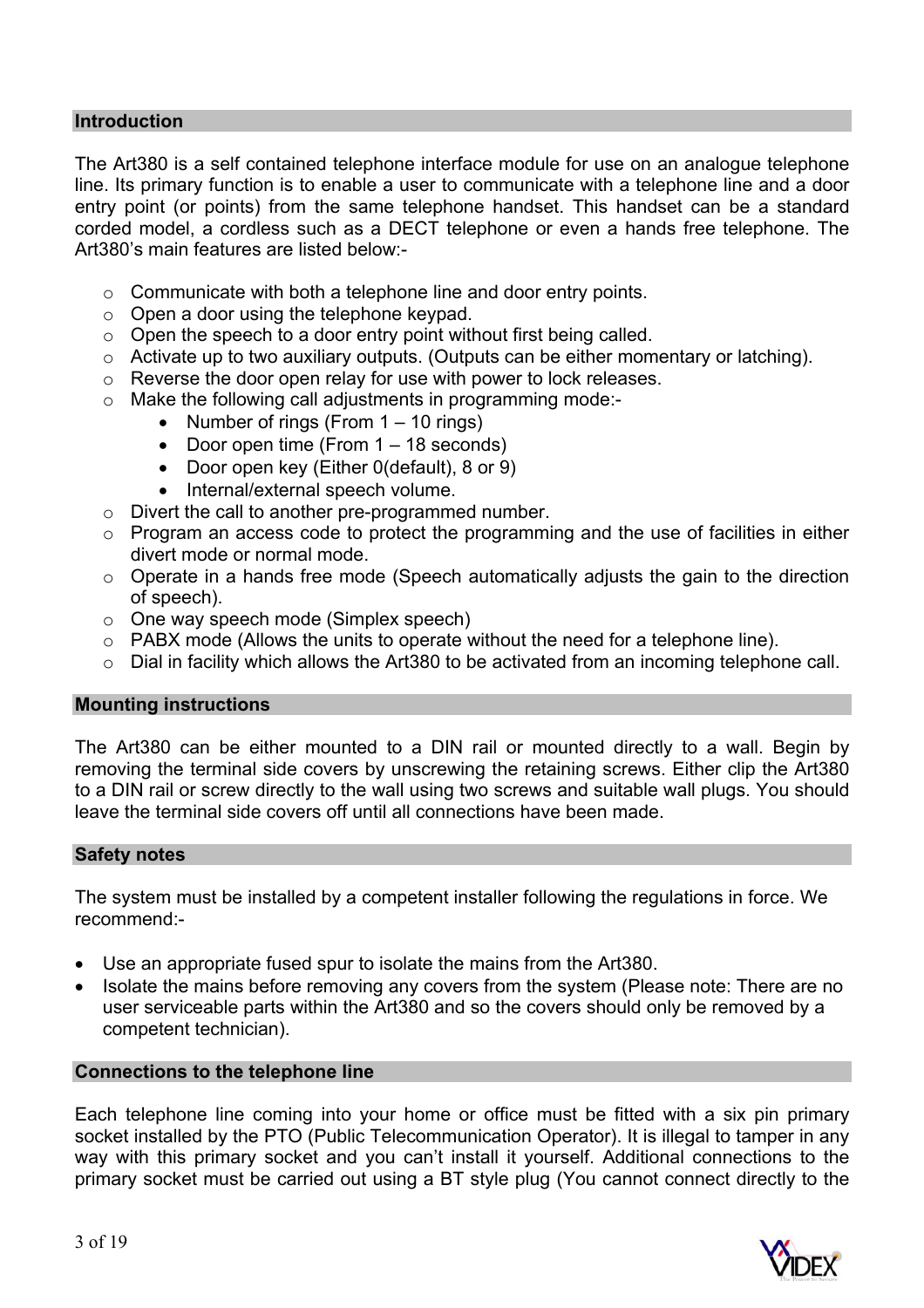## **Introduction**

The Art380 is a self contained telephone interface module for use on an analogue telephone line. Its primary function is to enable a user to communicate with a telephone line and a door entry point (or points) from the same telephone handset. This handset can be a standard corded model, a cordless such as a DECT telephone or even a hands free telephone. The Art380's main features are listed below:-

- o Communicate with both a telephone line and door entry points.
- o Open a door using the telephone keypad.
- $\circ$  Open the speech to a door entry point without first being called.
- o Activate up to two auxiliary outputs. (Outputs can be either momentary or latching).
- o Reverse the door open relay for use with power to lock releases.
- o Make the following call adjustments in programming mode:-
	- Number of rings (From  $1 10$  rings)
	- Door open time (From 1 18 seconds)
	- Door open key (Either 0(default), 8 or 9)
	- Internal/external speech volume.
- $\circ$  Divert the call to another pre-programmed number.
- o Program an access code to protect the programming and the use of facilities in either divert mode or normal mode.
- $\circ$  Operate in a hands free mode (Speech automatically adjusts the gain to the direction of speech).
- o One way speech mode (Simplex speech)
- o PABX mode (Allows the units to operate without the need for a telephone line).
- o Dial in facility which allows the Art380 to be activated from an incoming telephone call.

#### **Mounting instructions**

The Art380 can be either mounted to a DIN rail or mounted directly to a wall. Begin by removing the terminal side covers by unscrewing the retaining screws. Either clip the Art380 to a DIN rail or screw directly to the wall using two screws and suitable wall plugs. You should leave the terminal side covers off until all connections have been made.

#### **Safety notes**

The system must be installed by a competent installer following the regulations in force. We recommend:-

- Use an appropriate fused spur to isolate the mains from the Art380.
- Isolate the mains before removing any covers from the system (Please note: There are no user serviceable parts within the Art380 and so the covers should only be removed by a competent technician).

#### **Connections to the telephone line**

Each telephone line coming into your home or office must be fitted with a six pin primary socket installed by the PTO (Public Telecommunication Operator). It is illegal to tamper in any way with this primary socket and you can't install it yourself. Additional connections to the primary socket must be carried out using a BT style plug (You cannot connect directly to the

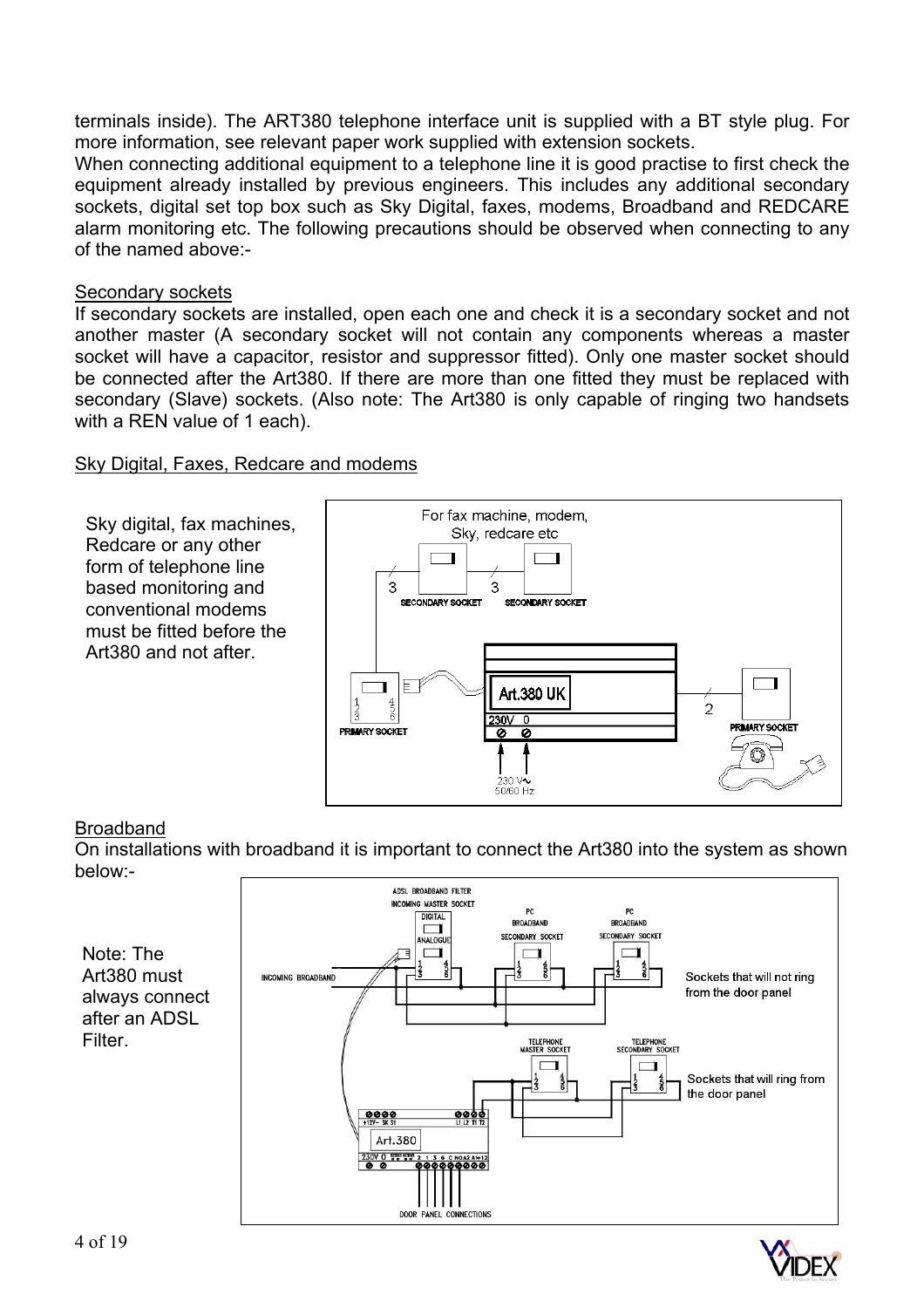terminals inside). The ART380 telephone interface unit is supplied with a BT style plug. For more information, see relevant paper work supplied with extension sockets.

When connecting additional equipment to a telephone line it is good practise to first check the equipment already installed by previous engineers. This includes any additional secondary sockets, digital set top box such as Sky Digital, faxes, modems, Broadband and REDCARE alarm monitoring etc. The following precautions should be observed when connecting to any of the named above:-

#### Secondary sockets

If secondary sockets are installed, open each one and check it is a secondary socket and not another master (A secondary socket will not contain any components whereas a master socket will have a capacitor, resistor and suppressor fitted). Only one master socket should be connected after the Art380. If there are more than one fitted they must be replaced with secondary (Slave) sockets. (Also note: The Art380 is only capable of ringing two handsets with a REN value of 1 each).

## Sky Digital, Faxes, Redcare and modems



## Broadband

On installations with broadband it is important to connect the Art380 into the system as shown below:-



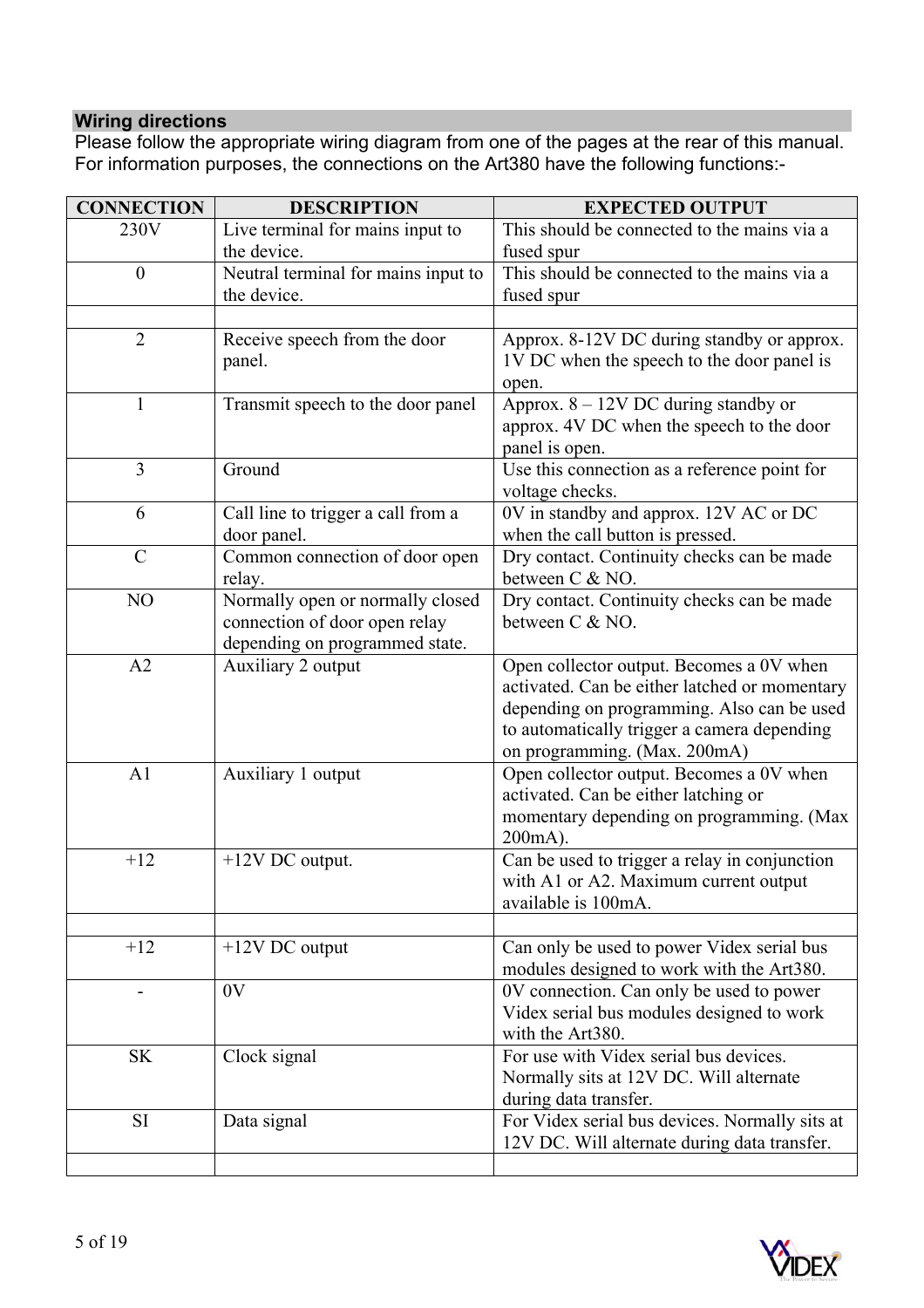## **Wiring directions**

Please follow the appropriate wiring diagram from one of the pages at the rear of this manual. For information purposes, the connections on the Art380 have the following functions:-

| <b>CONNECTION</b>        | <b>DESCRIPTION</b>                                   | <b>EXPECTED OUTPUT</b>                                                                    |
|--------------------------|------------------------------------------------------|-------------------------------------------------------------------------------------------|
| 230V                     | Live terminal for mains input to                     | This should be connected to the mains via a                                               |
|                          | the device.                                          | fused spur                                                                                |
| $\boldsymbol{0}$         | Neutral terminal for mains input to                  | This should be connected to the mains via a                                               |
|                          | the device.                                          | fused spur                                                                                |
|                          |                                                      |                                                                                           |
| $\overline{2}$           | Receive speech from the door                         | Approx. 8-12V DC during standby or approx.                                                |
|                          | panel.                                               | 1V DC when the speech to the door panel is                                                |
|                          |                                                      | open.                                                                                     |
| $\mathbf{1}$             | Transmit speech to the door panel                    | Approx. $8 - 12V$ DC during standby or                                                    |
|                          |                                                      | approx. 4V DC when the speech to the door                                                 |
|                          |                                                      | panel is open.                                                                            |
| 3                        | Ground                                               | Use this connection as a reference point for                                              |
|                          |                                                      | voltage checks.                                                                           |
| 6                        | Call line to trigger a call from a                   | 0V in standby and approx. 12V AC or DC                                                    |
|                          | door panel.                                          | when the call button is pressed.                                                          |
| $\mathcal{C}$            | Common connection of door open                       | Dry contact. Continuity checks can be made                                                |
|                          | relay.                                               | between C & NO.                                                                           |
| NO                       | Normally open or normally closed                     | Dry contact. Continuity checks can be made                                                |
|                          | connection of door open relay                        | between C & NO.                                                                           |
| A2                       | depending on programmed state.<br>Auxiliary 2 output |                                                                                           |
|                          |                                                      | Open collector output. Becomes a 0V when<br>activated. Can be either latched or momentary |
|                          |                                                      | depending on programming. Also can be used                                                |
|                          |                                                      | to automatically trigger a camera depending                                               |
|                          |                                                      | on programming. (Max. 200mA)                                                              |
| A1                       | Auxiliary 1 output                                   | Open collector output. Becomes a 0V when                                                  |
|                          |                                                      | activated. Can be either latching or                                                      |
|                          |                                                      | momentary depending on programming. (Max                                                  |
|                          |                                                      | $200mA$ ).                                                                                |
| $+12$                    | +12V DC output.                                      | Can be used to trigger a relay in conjunction                                             |
|                          |                                                      | with A1 or A2. Maximum current output                                                     |
|                          |                                                      | available is 100mA.                                                                       |
|                          |                                                      |                                                                                           |
| $+12$                    | $+12V$ DC output                                     | Can only be used to power Videx serial bus                                                |
|                          |                                                      | modules designed to work with the Art380.                                                 |
| $\overline{\phantom{a}}$ | 0V                                                   | 0V connection. Can only be used to power                                                  |
|                          |                                                      | Videx serial bus modules designed to work                                                 |
|                          |                                                      | with the Art380.                                                                          |
| <b>SK</b>                | Clock signal                                         | For use with Videx serial bus devices.                                                    |
|                          |                                                      | Normally sits at 12V DC. Will alternate                                                   |
|                          |                                                      | during data transfer.                                                                     |
| <b>SI</b>                | Data signal                                          | For Videx serial bus devices. Normally sits at                                            |
|                          |                                                      | 12V DC. Will alternate during data transfer.                                              |

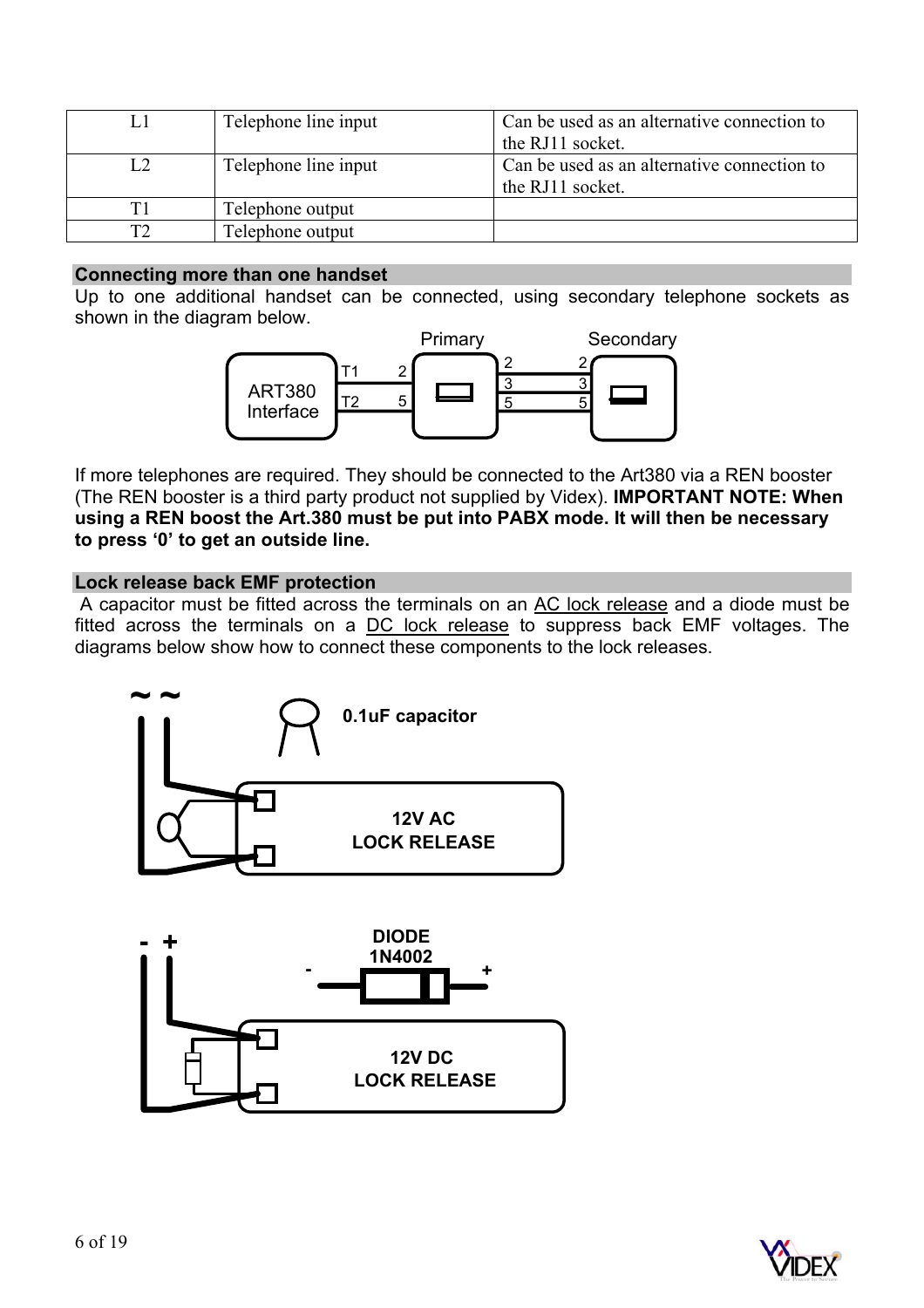| L. | Telephone line input | Can be used as an alternative connection to<br>the RJ11 socket. |
|----|----------------------|-----------------------------------------------------------------|
| L2 | Telephone line input | Can be used as an alternative connection to<br>the RJ11 socket. |
| T1 | Telephone output     |                                                                 |
| ⊤∩ | Telephone output     |                                                                 |

#### **Connecting more than one handset**

Up to one additional handset can be connected, using secondary telephone sockets as shown in the diagram below.



If more telephones are required. They should be connected to the Art380 via a REN booster (The REN booster is a third party product not supplied by Videx). **IMPORTANT NOTE: When using a REN boost the Art.380 must be put into PABX mode. It will then be necessary to press '0' to get an outside line.** 

#### **Lock release back EMF protection**

A capacitor must be fitted across the terminals on an AC lock release and a diode must be fitted across the terminals on a DC lock release to suppress back EMF voltages. The diagrams below show how to connect these components to the lock releases.



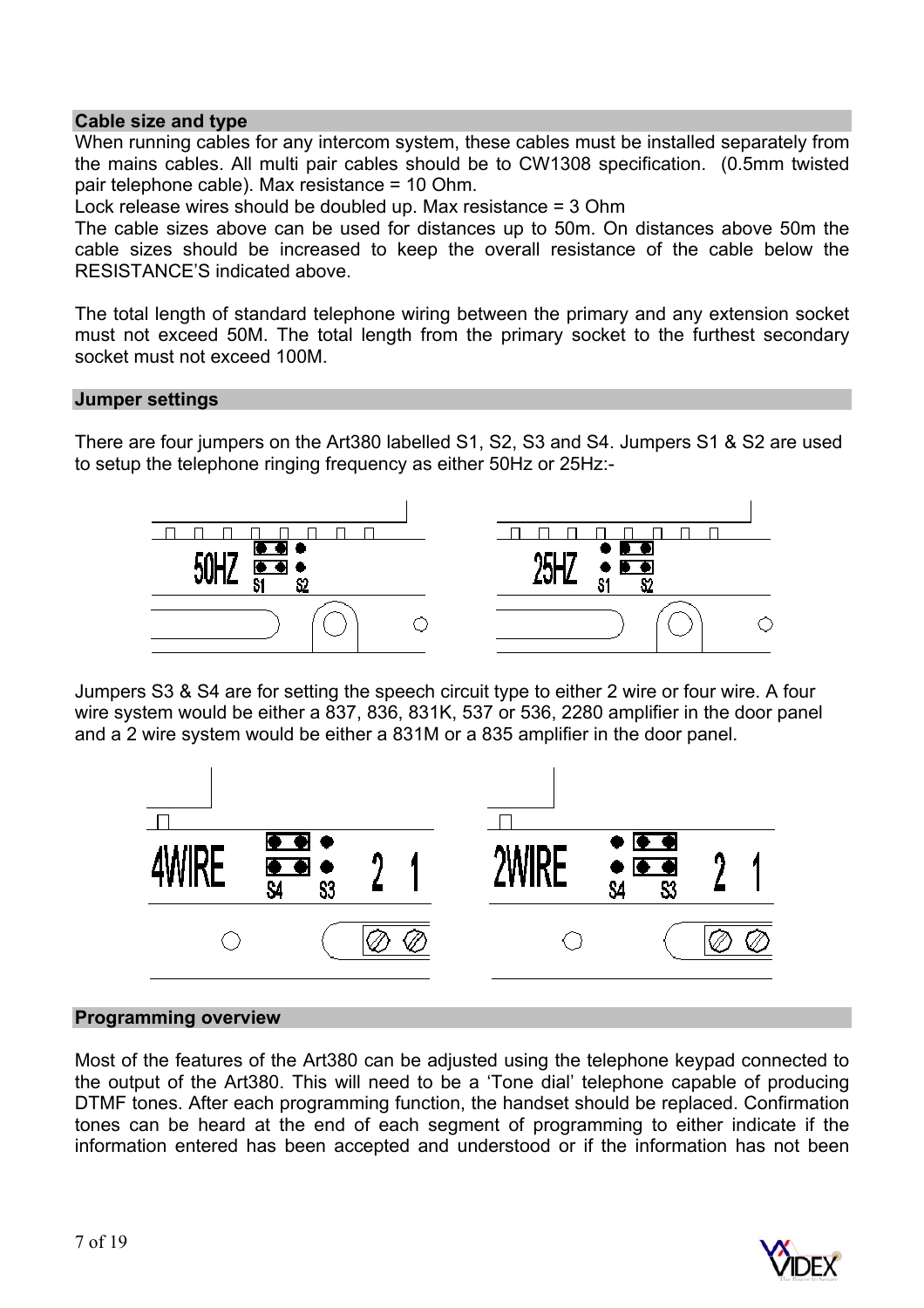### **Cable size and type**

When running cables for any intercom system, these cables must be installed separately from the mains cables. All multi pair cables should be to CW1308 specification. (0.5mm twisted pair telephone cable). Max resistance = 10 Ohm.

Lock release wires should be doubled up. Max resistance = 3 Ohm

The cable sizes above can be used for distances up to 50m. On distances above 50m the cable sizes should be increased to keep the overall resistance of the cable below the RESISTANCE'S indicated above.

The total length of standard telephone wiring between the primary and any extension socket must not exceed 50M. The total length from the primary socket to the furthest secondary socket must not exceed 100M.

#### **Jumper settings**

There are four jumpers on the Art380 labelled S1, S2, S3 and S4. Jumpers S1 & S2 are used to setup the telephone ringing frequency as either 50Hz or 25Hz:-



Jumpers S3 & S4 are for setting the speech circuit type to either 2 wire or four wire. A four wire system would be either a 837, 836, 831K, 537 or 536, 2280 amplifier in the door panel and a 2 wire system would be either a 831M or a 835 amplifier in the door panel.



#### **Programming overview**

Most of the features of the Art380 can be adjusted using the telephone keypad connected to the output of the Art380. This will need to be a 'Tone dial' telephone capable of producing DTMF tones. After each programming function, the handset should be replaced. Confirmation tones can be heard at the end of each segment of programming to either indicate if the information entered has been accepted and understood or if the information has not been

![](_page_6_Picture_12.jpeg)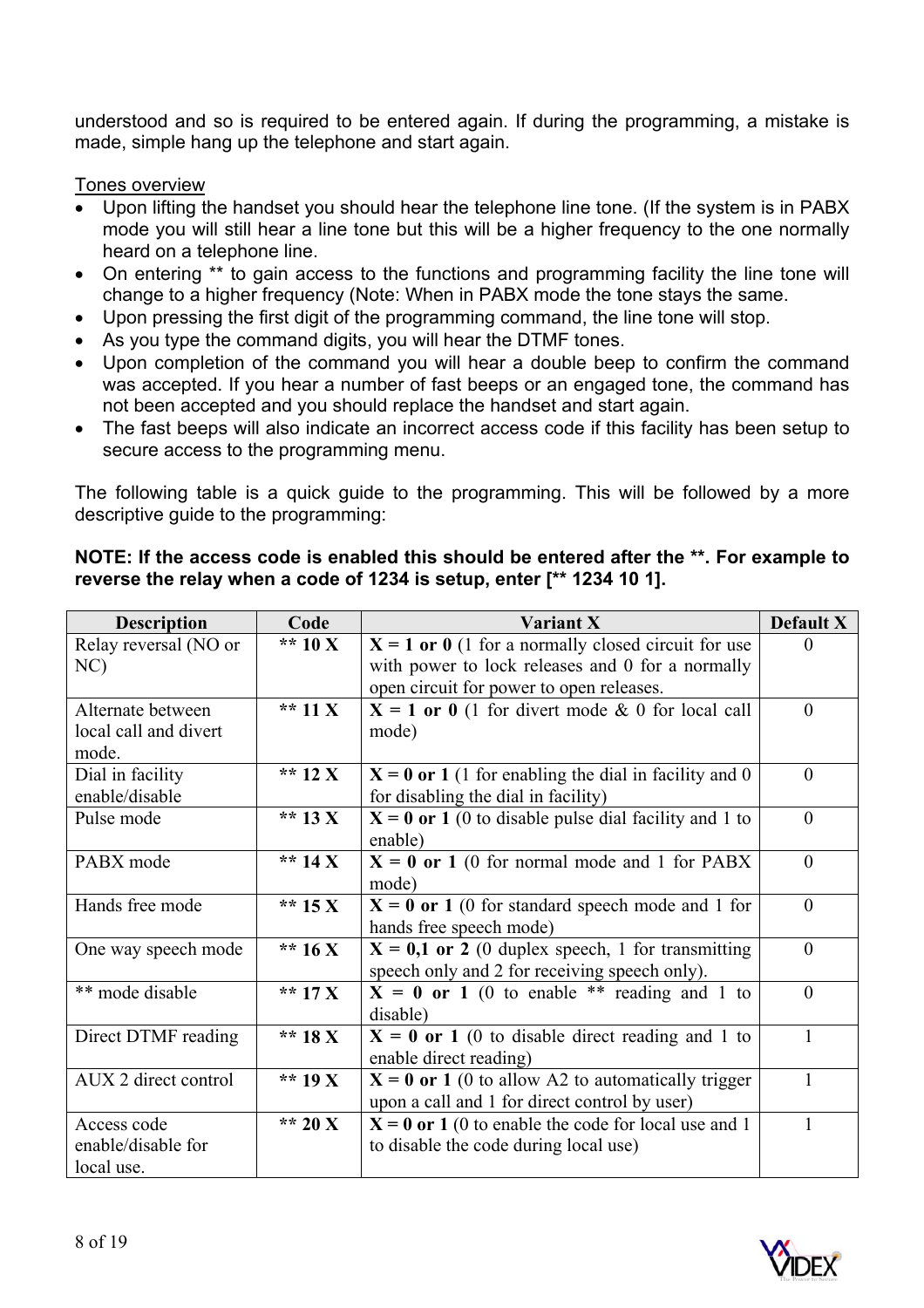understood and so is required to be entered again. If during the programming, a mistake is made, simple hang up the telephone and start again.

## Tones overview

- Upon lifting the handset you should hear the telephone line tone. (If the system is in PABX mode you will still hear a line tone but this will be a higher frequency to the one normally heard on a telephone line.
- On entering \*\* to gain access to the functions and programming facility the line tone will change to a higher frequency (Note: When in PABX mode the tone stays the same.
- Upon pressing the first digit of the programming command, the line tone will stop.
- As you type the command digits, you will hear the DTMF tones.
- Upon completion of the command you will hear a double beep to confirm the command was accepted. If you hear a number of fast beeps or an engaged tone, the command has not been accepted and you should replace the handset and start again.
- The fast beeps will also indicate an incorrect access code if this facility has been setup to secure access to the programming menu.

The following table is a quick guide to the programming. This will be followed by a more descriptive guide to the programming:

| <b>Description</b>    | Code      | Variant X                                               | Default X    |
|-----------------------|-----------|---------------------------------------------------------|--------------|
| Relay reversal (NO or | ** $10X$  | $X = 1$ or 0 (1 for a normally closed circuit for use   | $\Omega$     |
| NC)                   |           | with power to lock releases and 0 for a normally        |              |
|                       |           | open circuit for power to open releases.                |              |
| Alternate between     | ** 11 $X$ | $X = 1$ or 0 (1 for divert mode & 0 for local call      | $\Omega$     |
| local call and divert |           | mode)                                                   |              |
| mode.                 |           |                                                         |              |
| Dial in facility      | ** $12 X$ | $X = 0$ or 1 (1 for enabling the dial in facility and 0 | $\mathbf{0}$ |
| enable/disable        |           | for disabling the dial in facility)                     |              |
| Pulse mode            | ** 13 $X$ | $X = 0$ or 1 (0 to disable pulse dial facility and 1 to | $\theta$     |
|                       |           | enable)                                                 |              |
| PABX mode             | ** 14 $X$ | $X = 0$ or 1 (0 for normal mode and 1 for PABX          | $\theta$     |
|                       |           | mode)                                                   |              |
| Hands free mode       | ** $15X$  | $X = 0$ or 1 (0 for standard speech mode and 1 for      | $\theta$     |
|                       |           | hands free speech mode)                                 |              |
| One way speech mode   | ** $16X$  | $X = 0,1$ or 2 (0 duplex speech, 1 for transmitting     | $\theta$     |
|                       |           | speech only and 2 for receiving speech only).           |              |
| ** mode disable       | ** $17X$  | $X = 0$ or 1 (0 to enable ** reading and 1 to           | $\theta$     |
|                       |           | disable)                                                |              |
| Direct DTMF reading   | ** 18 $X$ | $X = 0$ or 1 (0 to disable direct reading and 1 to      | 1            |
|                       |           | enable direct reading)                                  |              |
| AUX 2 direct control  | ** 19 $X$ | $X = 0$ or 1 (0 to allow A2 to automatically trigger    | 1            |
|                       |           | upon a call and 1 for direct control by user)           |              |
| Access code           | ** 20 X   | $X = 0$ or 1 (0 to enable the code for local use and 1  | 1            |
| enable/disable for    |           | to disable the code during local use)                   |              |
| local use.            |           |                                                         |              |

## **NOTE: If the access code is enabled this should be entered after the \*\*. For example to reverse the relay when a code of 1234 is setup, enter [\*\* 1234 10 1].**

![](_page_7_Picture_11.jpeg)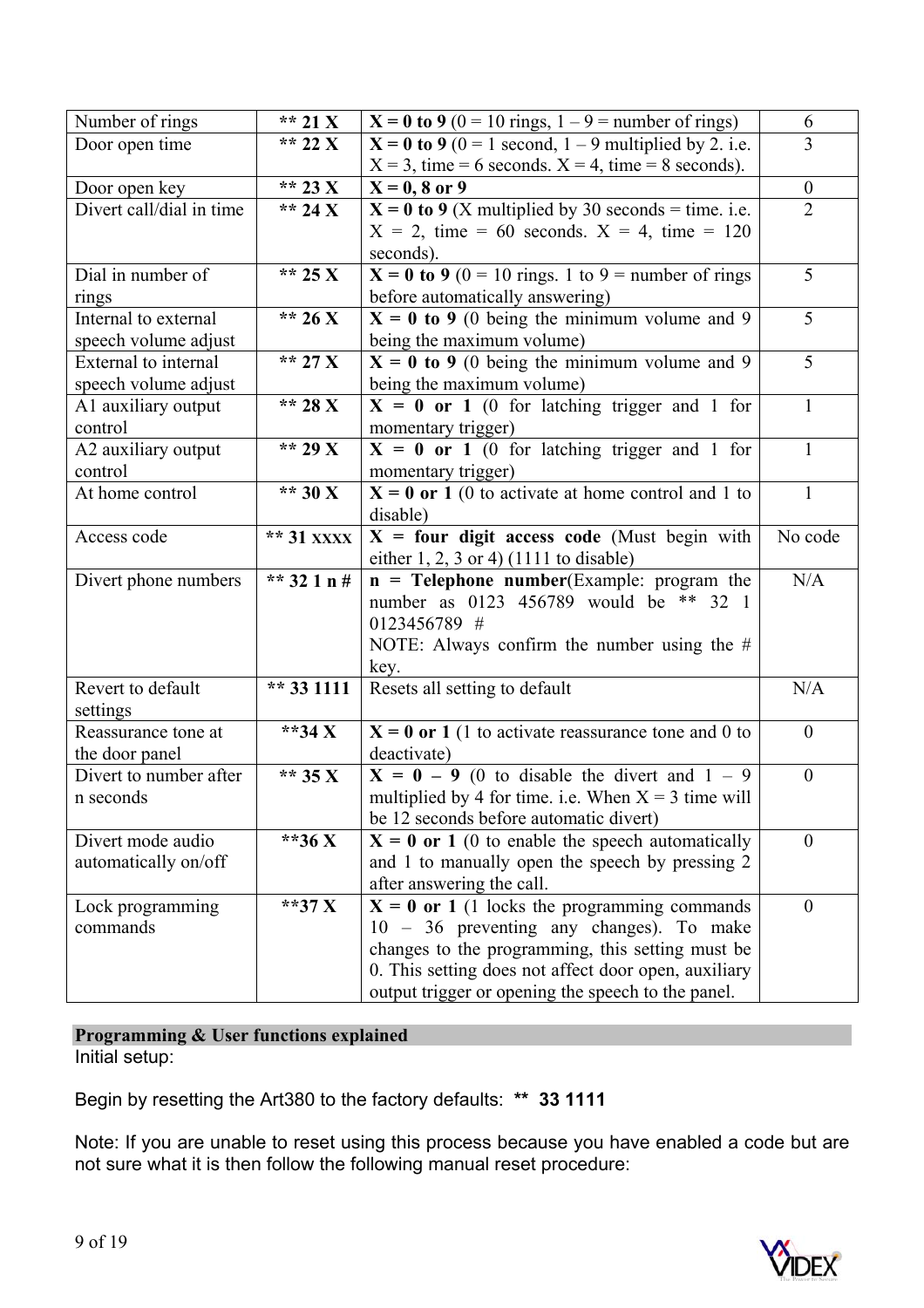| Number of rings          | ** 21 $X$   | $X = 0$ to 9 (0 = 10 rings, 1 – 9 = number of rings)      | 6                |
|--------------------------|-------------|-----------------------------------------------------------|------------------|
| Door open time           | ** 22 X     | $X = 0$ to 9 (0 = 1 second, 1 – 9 multiplied by 2. i.e.   | 3                |
|                          |             | $X = 3$ , time = 6 seconds. $X = 4$ , time = 8 seconds).  |                  |
| Door open key            | ** 23 $X$   | $X = 0, 8$ or 9                                           | $\boldsymbol{0}$ |
| Divert call/dial in time | ** 24 X     | $X = 0$ to 9 (X multiplied by 30 seconds = time. i.e.     | $\overline{2}$   |
|                          |             | $X = 2$ , time = 60 seconds. $X = 4$ , time = 120         |                  |
|                          |             | seconds).                                                 |                  |
| Dial in number of        | ** 25 X     | $X = 0$ to 9 (0 = 10 rings. 1 to 9 = number of rings      | 5                |
| rings                    |             | before automatically answering)                           |                  |
| Internal to external     | ** 26 X     | $X = 0$ to 9 (0 being the minimum volume and 9            | 5                |
| speech volume adjust     |             | being the maximum volume)                                 |                  |
| External to internal     | ** 27 X     | $X = 0$ to 9 (0 being the minimum volume and 9            | 5                |
| speech volume adjust     |             | being the maximum volume)                                 |                  |
| A1 auxiliary output      | ** 28 X     | $X = 0$ or 1 (0 for latching trigger and 1 for            | $\mathbf{1}$     |
| control                  |             | momentary trigger)                                        |                  |
| A2 auxiliary output      | ** 29 X     | $\overline{X} = 0$ or 1 (0 for latching trigger and 1 for | $\mathbf{1}$     |
| control                  |             | momentary trigger)                                        |                  |
| At home control          | ** $30 X$   | $X = 0$ or 1 (0 to activate at home control and 1 to      | 1                |
|                          |             | disable)                                                  |                  |
| Access code              | ** 31 xxxx  | $X =$ four digit access code (Must begin with             | No code          |
|                          |             | either $1, 2, 3$ or $4)$ (1111 to disable)                |                  |
| Divert phone numbers     | ** 32 1 n # | $\mathbf{n}$ = Telephone number(Example: program the      | N/A              |
|                          |             | number as 0123 456789 would be ** 32 1                    |                  |
|                          |             | 0123456789 #                                              |                  |
|                          |             | NOTE: Always confirm the number using the $#$             |                  |
|                          |             | key.                                                      |                  |
| Revert to default        | ** 33 1111  | Resets all setting to default                             | N/A              |
| settings                 |             |                                                           |                  |
| Reassurance tone at      | **34 $X$    | $X = 0$ or 1 (1 to activate reassurance tone and 0 to     | $\theta$         |
| the door panel           |             | deactivate)                                               |                  |
| Divert to number after   | ** $35 X$   | $X = 0 - 9$ (0 to disable the divert and 1 - 9            | $\boldsymbol{0}$ |
| n seconds                |             | multiplied by 4 for time. i.e. When $X = 3$ time will     |                  |
|                          |             | be 12 seconds before automatic divert)                    |                  |
| Divert mode audio        | **36 X      | $X = 0$ or 1 (0 to enable the speech automatically        | $\overline{0}$   |
| automatically on/off     |             | and 1 to manually open the speech by pressing 2           |                  |
|                          |             | after answering the call.                                 |                  |
| Lock programming         | **37 $X$    | $X = 0$ or 1 (1 locks the programming commands            | $\theta$         |
| commands                 |             | 10 – 36 preventing any changes). To make                  |                  |
|                          |             | changes to the programming, this setting must be          |                  |
|                          |             | 0. This setting does not affect door open, auxiliary      |                  |
|                          |             | output trigger or opening the speech to the panel.        |                  |

**Programming & User functions explained**  Initial setup:

Begin by resetting the Art380 to the factory defaults: **\*\* 33 1111** 

Note: If you are unable to reset using this process because you have enabled a code but are not sure what it is then follow the following manual reset procedure:

![](_page_8_Picture_4.jpeg)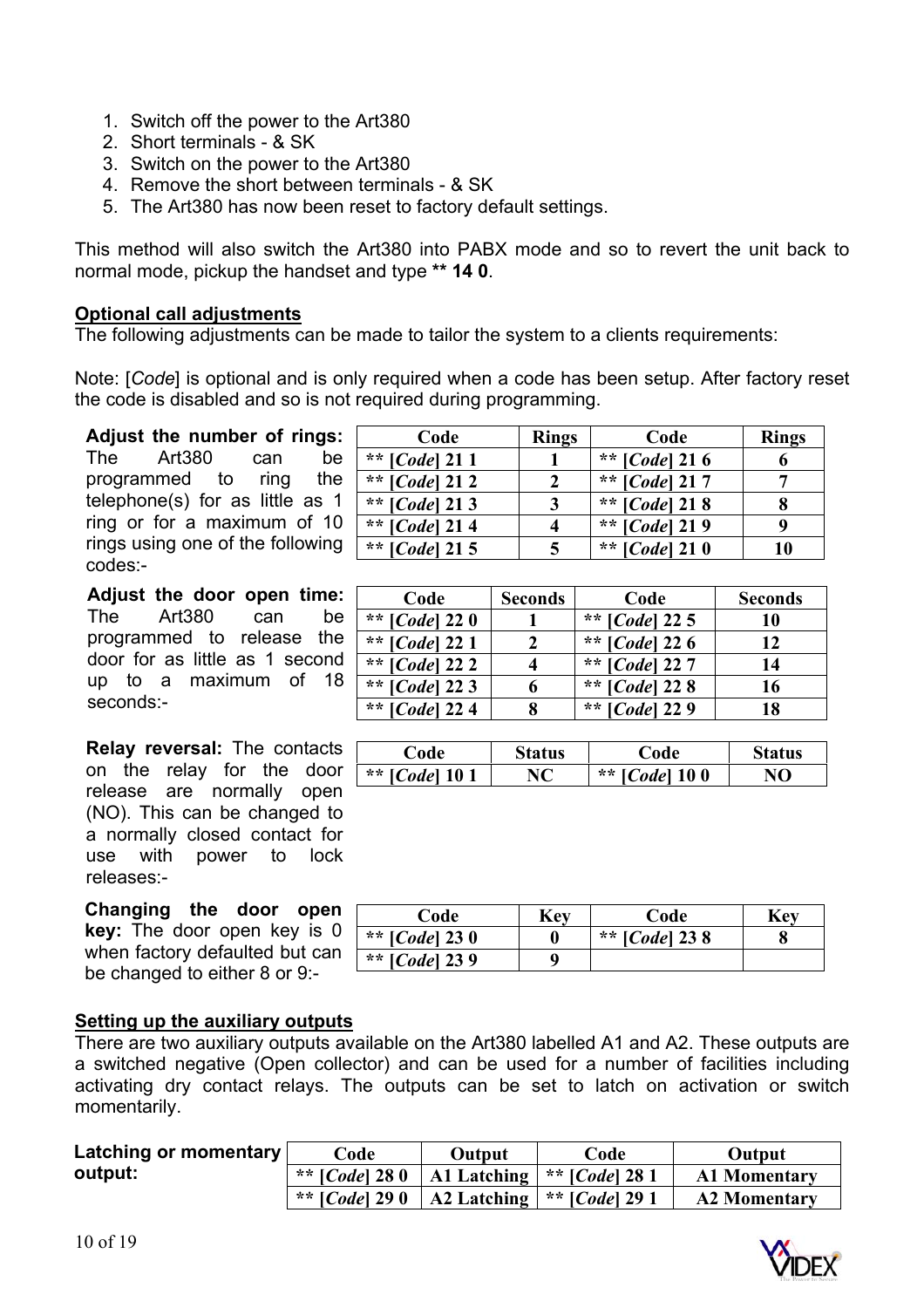- 1. Switch off the power to the Art380
- 2. Short terminals & SK
- 3. Switch on the power to the Art380
- 4. Remove the short between terminals & SK
- 5. The Art380 has now been reset to factory default settings.

This method will also switch the Art380 into PABX mode and so to revert the unit back to normal mode, pickup the handset and type **\*\* 14 0**.

#### **Optional call adjustments**

The following adjustments can be made to tailor the system to a clients requirements:

Note: [*Code*] is optional and is only required when a code has been setup. After factory reset the code is disabled and so is not required during programming.

**Adjust the number of rings:** The Art380 can be programmed to ring the telephone(s) for as little as 1 ring or for a maximum of 10 rings using one of the following codes:-

**Adjust the door open time:** The Art380 can be programmed to release the door for as little as 1 second up to a maximum of 18 seconds:-

**Relay reversal:** The contacts on the relay for the door release are normally open (NO). This can be changed to a normally closed contact for use with power to lock releases:-

**Changing the door open key:** The door open key is 0 when factory defaulted but can be changed to either 8 or 9:-

| Code                    | <b>Rings</b> | Code                    | <b>Rings</b> |
|-------------------------|--------------|-------------------------|--------------|
| ** $[Code]$ 21 1        |              | ** [ <i>Code</i> ] 21 6 |              |
| ** $[Code]$ 21 2        |              | ** [ <i>Code</i> ] 21 7 |              |
| ** $[Code] 21 3$        |              | ** [ <i>Code</i> ] 21 8 |              |
| ** $[Code] 21 4$        |              | ** [ <i>Code</i> ] 21 9 |              |
| ** [ <i>Code</i> ] 21 5 |              | ** [ <i>Code</i> ] 21 0 |              |

| Code                    | <b>Seconds</b> | Code                    | <b>Seconds</b> |
|-------------------------|----------------|-------------------------|----------------|
| ** [ <i>Code</i> ] 22 0 |                | ** [ <i>Code</i> ] 22 5 | 10             |
| ** $[Code] 221$         |                | ** $[Code] 226$         | 12             |
| ** $[Code]$ 22 2        |                | ** $[Code]$ 227         | 14             |
| ** [ <i>Code</i> ] 22 3 |                | ** $[Code]$ 22 8        | 16             |
| ** [ <i>Code</i> ] 224  |                | ** $[Code]$ 22 9        | 18             |

| Code                  | Status | Code                    | <b>Status</b> |
|-----------------------|--------|-------------------------|---------------|
| ** [ <i>Code</i> ] 10 |        | ** [ <i>Code</i> ] 10 0 | NO.           |

| Code                    | Kev | Code                    | Kev |
|-------------------------|-----|-------------------------|-----|
| ** [ <i>Code</i> ] 23 0 |     | ** [ <i>Code</i> ] 23 8 |     |
| ** [ <i>Code</i> ] 23 9 |     |                         |     |

#### **Setting up the auxiliary outputs**

There are two auxiliary outputs available on the Art380 labelled A1 and A2. These outputs are a switched negative (Open collector) and can be used for a number of facilities including activating dry contact relays. The outputs can be set to latch on activation or switch momentarily.

| Latching or momentary | Code                    | Output | Code                                                     | Output              |
|-----------------------|-------------------------|--------|----------------------------------------------------------|---------------------|
| output:               | ** [ <i>Code</i> ] 28 0 |        | A1 Latching $ ** $ [ <i>Code</i> ] 28 1                  | <b>A1 Momentary</b> |
|                       | ** [ <i>Code</i> ] 29 0 |        | $\Delta 2$ Latching $\vert * \vert$ [ <i>Code</i> ] 29 1 | <b>A2 Momentary</b> |

![](_page_9_Picture_20.jpeg)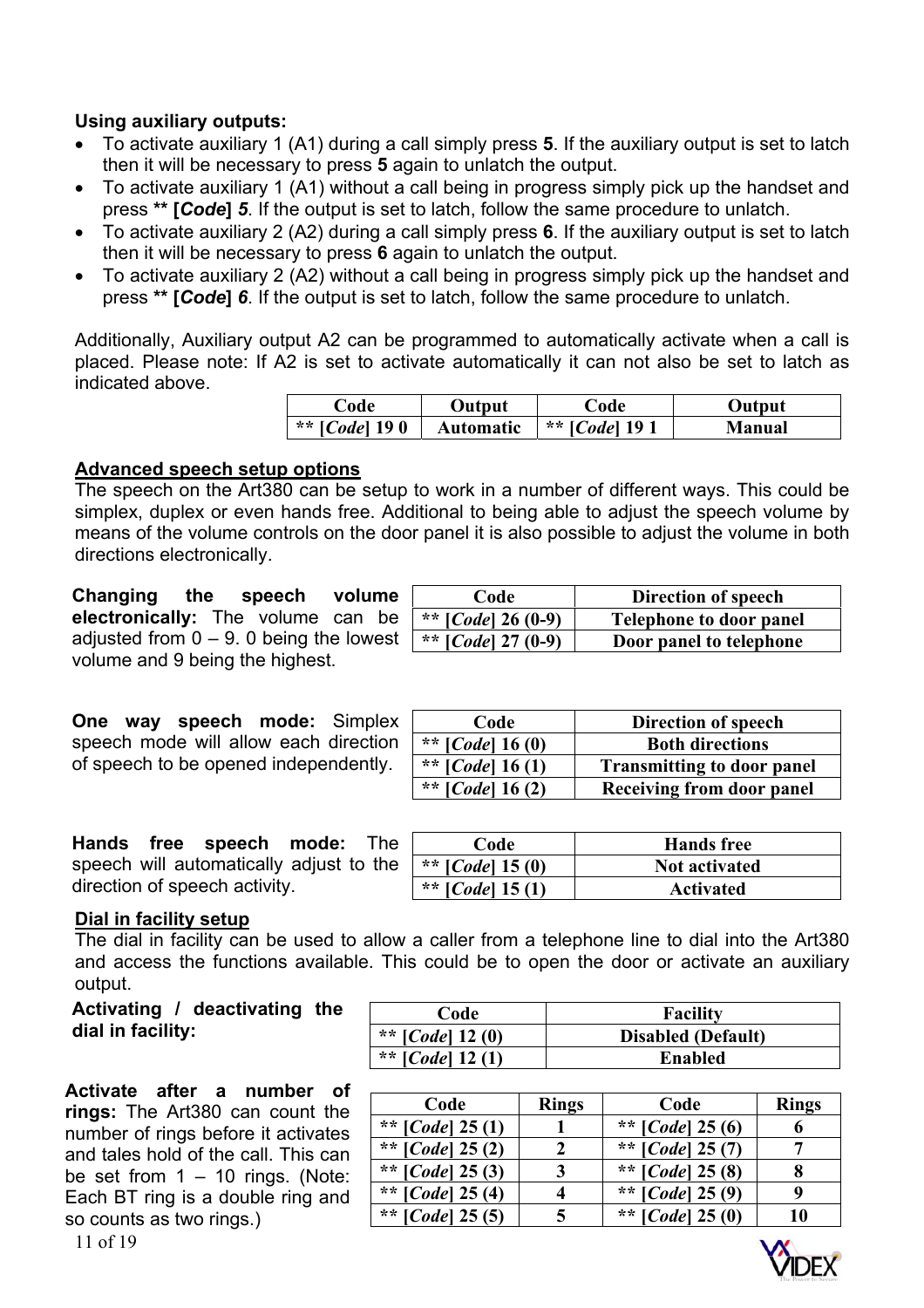## **Using auxiliary outputs:**

- To activate auxiliary 1 (A1) during a call simply press **5**. If the auxiliary output is set to latch then it will be necessary to press **5** again to unlatch the output.
- To activate auxiliary 1 (A1) without a call being in progress simply pick up the handset and press **\*\* [***Code***]** *5*. If the output is set to latch, follow the same procedure to unlatch.
- To activate auxiliary 2 (A2) during a call simply press **6**. If the auxiliary output is set to latch then it will be necessary to press **6** again to unlatch the output.
- To activate auxiliary 2 (A2) without a call being in progress simply pick up the handset and press **\*\* [***Code***]** *6*. If the output is set to latch, follow the same procedure to unlatch.

Additionally, Auxiliary output A2 can be programmed to automatically activate when a call is placed. Please note: If A2 is set to activate automatically it can not also be set to latch as indicated above.

| ∴ode ⊦                  | Output           | 'ode                  | Output |
|-------------------------|------------------|-----------------------|--------|
| ** [ <i>Code</i> ] 19 0 | <b>Automatic</b> | ** [ <i>Code</i> ] 19 | Manual |

## **Advanced speech setup options**

The speech on the Art380 can be setup to work in a number of different ways. This could be simplex, duplex or even hands free. Additional to being able to adjust the speech volume by means of the volume controls on the door panel it is also possible to adjust the volume in both directions electronically.

**Changing the speech volume electronically:** The volume can be adjusted from  $0 - 9$ . 0 being the lowest volume and 9 being the highest.

**One way speech mode:** Simplex speech mode will allow each direction of speech to be opened independently.

| Code                 | Direction of speech            |
|----------------------|--------------------------------|
| ** $[Code] 26 (0-9)$ | <b>Telephone to door panel</b> |
| ** $[Code]$ 27 (0-9) | Door panel to telephone        |

| Code                        | Direction of speech               |
|-----------------------------|-----------------------------------|
| ** [ <i>Code</i> ] 16 (0)   | <b>Both directions</b>            |
| ** [ <i>Code</i> ] 16 $(1)$ | <b>Transmitting to door panel</b> |
| ** [ <i>Code</i> ] 16 $(2)$ | Receiving from door panel         |

**Hands free speech mode:** The speech will automatically adjust to the direction of speech activity.

| Code                      | <b>Hands</b> free    |
|---------------------------|----------------------|
| ** [ <i>Code</i> ] 15 (0) | <b>Not activated</b> |
| ** $[Code]$ 15 (1)        | <b>Activated</b>     |

#### **Dial in facility setup**

The dial in facility can be used to allow a caller from a telephone line to dial into the Art380 and access the functions available. This could be to open the door or activate an auxiliary output.

**Activate after a number of rings:** The Art380 can count the number of rings before it activates and tales hold of the call. This can be set from  $1 - 10$  rings. (Note: Each BT ring is a double ring and so counts as two rings.)

| Activating / deactivating the | Code                        | <b>Facility</b>           |
|-------------------------------|-----------------------------|---------------------------|
| dial in facility:             | ** [ <i>Code</i> ] 12 (0)   | <b>Disabled (Default)</b> |
|                               | ** [ <i>Code</i> ] 12 $(1)$ | <b>Enabled</b>            |

| Code                       | <b>Rings</b> | Code                       | <b>Rings</b> |
|----------------------------|--------------|----------------------------|--------------|
| ** $[Code] 25(1)$          |              | ** $[Code] 25(6)$          |              |
| ** [ <i>Code</i> ] $25(2)$ |              | ** [ <i>Code</i> ] $25(7)$ |              |
| ** [ <i>Code</i> ] $25(3)$ | 3            | ** [ <i>Code</i> ] $25(8)$ |              |
| ** [ <i>Code</i> ] $25(4)$ |              | ** [ <i>Code</i> ] $25(9)$ |              |
| ** [ <i>Code</i> ] $25(5)$ |              | ** [ <i>Code</i> ] $25(0)$ | 10           |

![](_page_10_Picture_22.jpeg)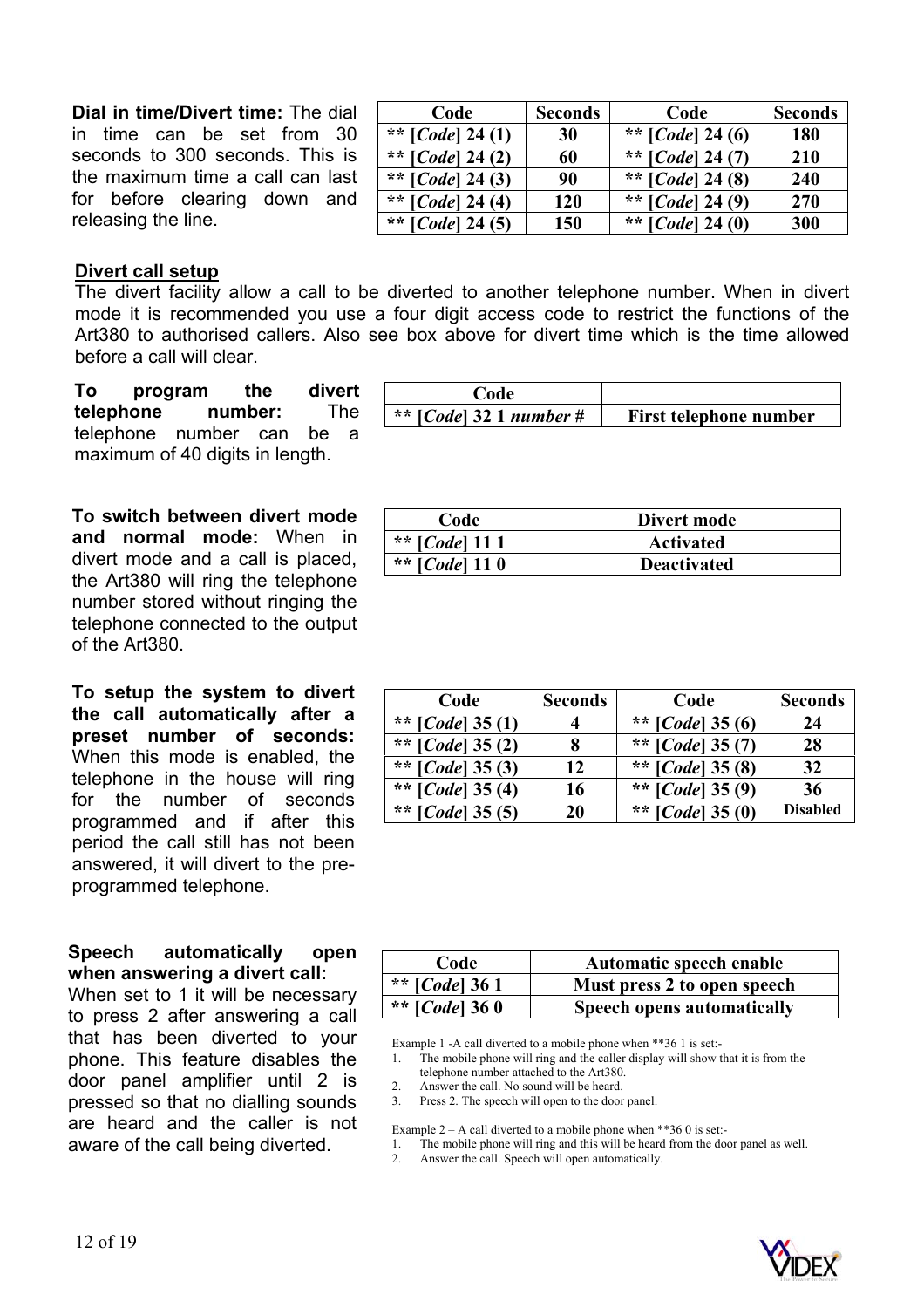**Dial in time/Divert time:** The dial in time can be set from 30 seconds to 300 seconds. This is the maximum time a call can last for before clearing down and releasing the line.

| Code                      | <b>Seconds</b> | Code                        | <b>Seconds</b> |
|---------------------------|----------------|-----------------------------|----------------|
| ** $[Code] 24(1)$         | 30             | ** $[Code] 24 (6)$          | 180            |
| ** $[Code] 24 (2)$        | 60             | ** [ <i>Code</i> ] 24 $(7)$ | 210            |
| ** [ <i>Code</i> ] 24 (3) | 90             | ** [ <i>Code</i> ] 24 (8)   | 240            |
| ** $[Code] 24 (4)$        | <b>120</b>     | ** [ <i>Code</i> ] 24 (9)   | 270            |
| ** [ <i>Code</i> ] 24 (5) | 150            | ** [ <i>Code</i> ] 24 (0)   | 300            |

#### **Divert call setup**

The divert facility allow a call to be diverted to another telephone number. When in divert mode it is recommended you use a four digit access code to restrict the functions of the Art380 to authorised callers. Also see box above for divert time which is the time allowed before a call will clear.

**To program the divert telephone number:** The telephone number can be a maximum of 40 digits in length.

**To switch between divert mode and normal mode:** When in divert mode and a call is placed, the Art380 will ring the telephone number stored without ringing the telephone connected to the output of the Art380.

**To setup the system to divert the call automatically after a preset number of seconds:**  When this mode is enabled, the telephone in the house will ring for the number of seconds programmed and if after this period the call still has not been answered, it will divert to the preprogrammed telephone.

#### **Speech automatically open when answering a divert call:**

When set to 1 it will be necessary to press 2 after answering a call that has been diverted to your phone. This feature disables the door panel amplifier until 2 is pressed so that no dialling sounds are heard and the caller is not aware of the call being diverted.

| Code                      |                        |
|---------------------------|------------------------|
| ** $[Code]$ 32 1 number # | First telephone number |

| Code                    | Divert mode        |
|-------------------------|--------------------|
| ** [ <i>Code</i> ] 11 1 | <b>Activated</b>   |
| ** [ <i>Code</i> ] 11 0 | <b>Deactivated</b> |

| Code                        | <b>Seconds</b> | Code                        | <b>Seconds</b>  |
|-----------------------------|----------------|-----------------------------|-----------------|
| ** [ <i>Code</i> ] 35 $(1)$ |                | ** [ <i>Code</i> ] 35 (6)   | 24              |
| ** $[Code] 35 (2)$          | 8              | ** [ <i>Code</i> ] 35 $(7)$ | 28              |
| ** [ <i>Code</i> ] 35 $(3)$ | 12             | ** [ <i>Code</i> ] 35 $(8)$ | 32              |
| ** [ <i>Code</i> ] 35 $(4)$ | 16             | ** [ <i>Code</i> ] 35 $(9)$ | 36              |
| ** [ <i>Code</i> ] 35 $(5)$ | 20             | ** [ <i>Code</i> ] 35 (0)   | <b>Disabled</b> |

| Code                    | Automatic speech enable           |
|-------------------------|-----------------------------------|
| ** [ <i>Code</i> ] 36 1 | Must press 2 to open speech       |
| ** [ <i>Code</i> ] 36 0 | <b>Speech opens automatically</b> |

Example 1 -A call diverted to a mobile phone when \*\*36 1 is set:-

The mobile phone will ring and the caller display will show that it is from the telephone number attached to the Art380.

2. Answer the call. No sound will be heard.

3. Press 2. The speech will open to the door panel.

Example  $2 - A$  call diverted to a mobile phone when \*\*36 0 is set:-

1. The mobile phone will ring and this will be heard from the door panel as well.

2. Answer the call. Speech will open automatically.

![](_page_11_Picture_20.jpeg)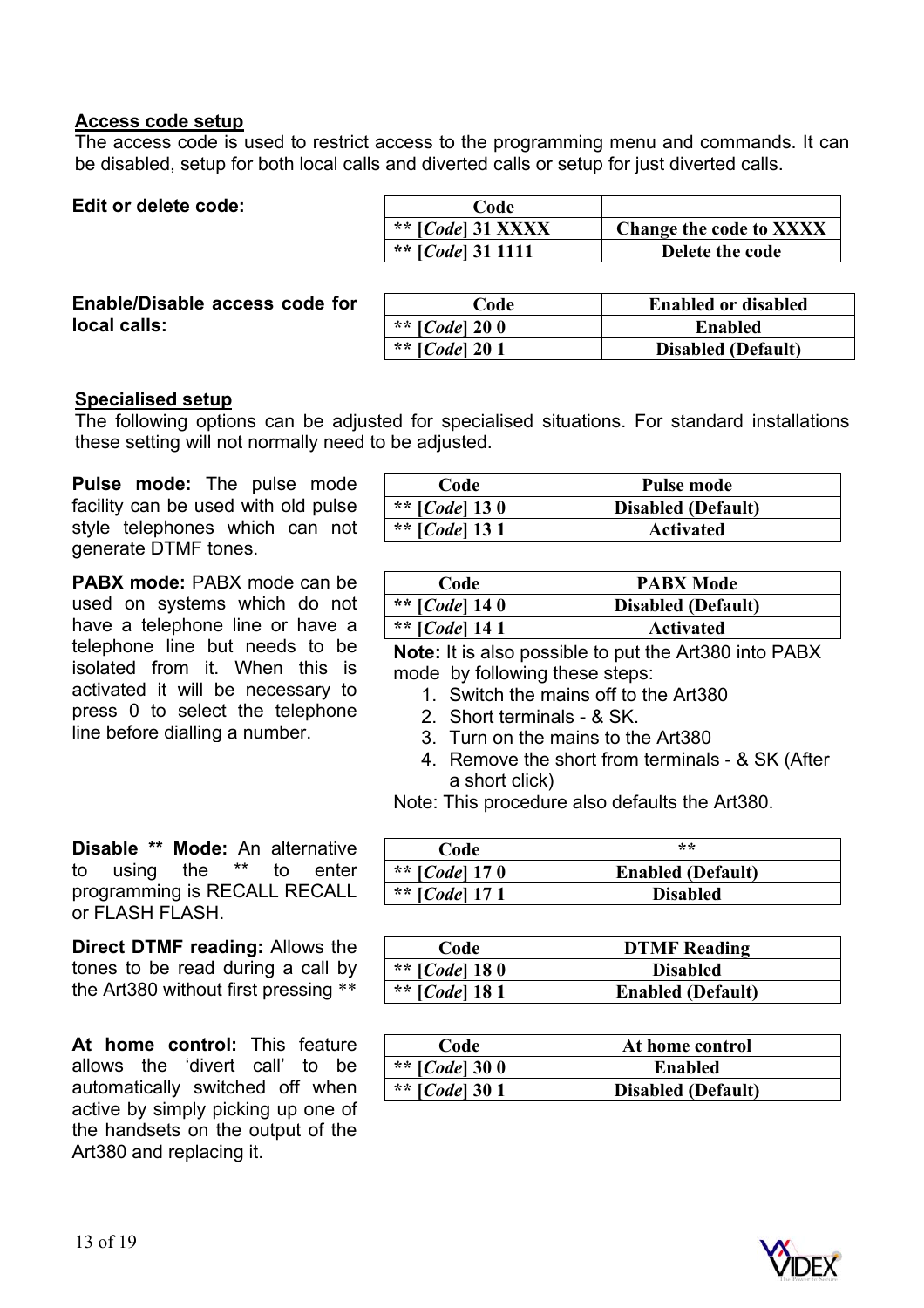#### **Access code setup**

The access code is used to restrict access to the programming menu and commands. It can be disabled, setup for both local calls and diverted calls or setup for just diverted calls.

| Code                     |                            |
|--------------------------|----------------------------|
| ** $[Code]$ 31 XXXX      | Change the code to XXXX    |
| ** [Code] 31 1111        | Delete the code            |
| Code                     | <b>Enabled or disabled</b> |
| ** [ <i>Code</i> ] $200$ | <b>Enabled</b>             |
| ** [ <i>Code</i> ] $201$ | <b>Disabled (Default)</b>  |
|                          |                            |

#### **Specialised setup**

The following options can be adjusted for specialised situations. For standard installations these setting will not normally need to be adjusted.

**Pulse mode:** The pulse mode facility can be used with old pulse style telephones which can not generate DTMF tones.

**PABX mode:** PABX mode can be used on systems which do not have a telephone line or have a telephone line but needs to be isolated from it. When this is activated it will be necessary to press 0 to select the telephone line before dialling a number.

**Disable \*\* Mode:** An alternative to using the \*\* to enter programming is RECALL RECALL or FLASH FLASH.

**Direct DTMF reading:** Allows the tones to be read during a call by the Art380 without first pressing \*\*

**At home control:** This feature allows the 'divert call' to be automatically switched off when active by simply picking up one of the handsets on the output of the Art380 and replacing it.

| Code                    | Pulse mode                |
|-------------------------|---------------------------|
| ** [ <i>Code</i> ] 13 0 | <b>Disabled (Default)</b> |
| ** [ <i>Code</i> ] 13 1 | <b>Activated</b>          |

| Code                    | <b>PABX Mode</b>          |
|-------------------------|---------------------------|
| ** [ <i>Code</i> ] 14 0 | <b>Disabled</b> (Default) |
| ** [ <i>Code</i> ] 14 1 | <b>Activated</b>          |

**Note:** It is also possible to put the Art380 into PABX mode by following these steps:

- 1. Switch the mains off to the Art380
- 2. Short terminals & SK.
- 3. Turn on the mains to the Art380
- 4. Remove the short from terminals & SK (After a short click)

Note: This procedure also defaults the Art380.

| Code                    | $**$                     |
|-------------------------|--------------------------|
| ** [ <i>Code</i> ] 17 0 | <b>Enabled (Default)</b> |
| ** [ <i>Code</i> ] 17 1 | <b>Disabled</b>          |

| Code                    | <b>DTMF</b> Reading      |
|-------------------------|--------------------------|
| ** [ <i>Code</i> ] 18 0 | <b>Disabled</b>          |
| ** [ <i>Code</i> ] 18 1 | <b>Enabled (Default)</b> |

| Code                    | At home control           |
|-------------------------|---------------------------|
| ** [ <i>Code</i> ] 30 0 | Enabled                   |
| ** [ <i>Code</i> ] 30 1 | <b>Disabled (Default)</b> |

![](_page_12_Picture_21.jpeg)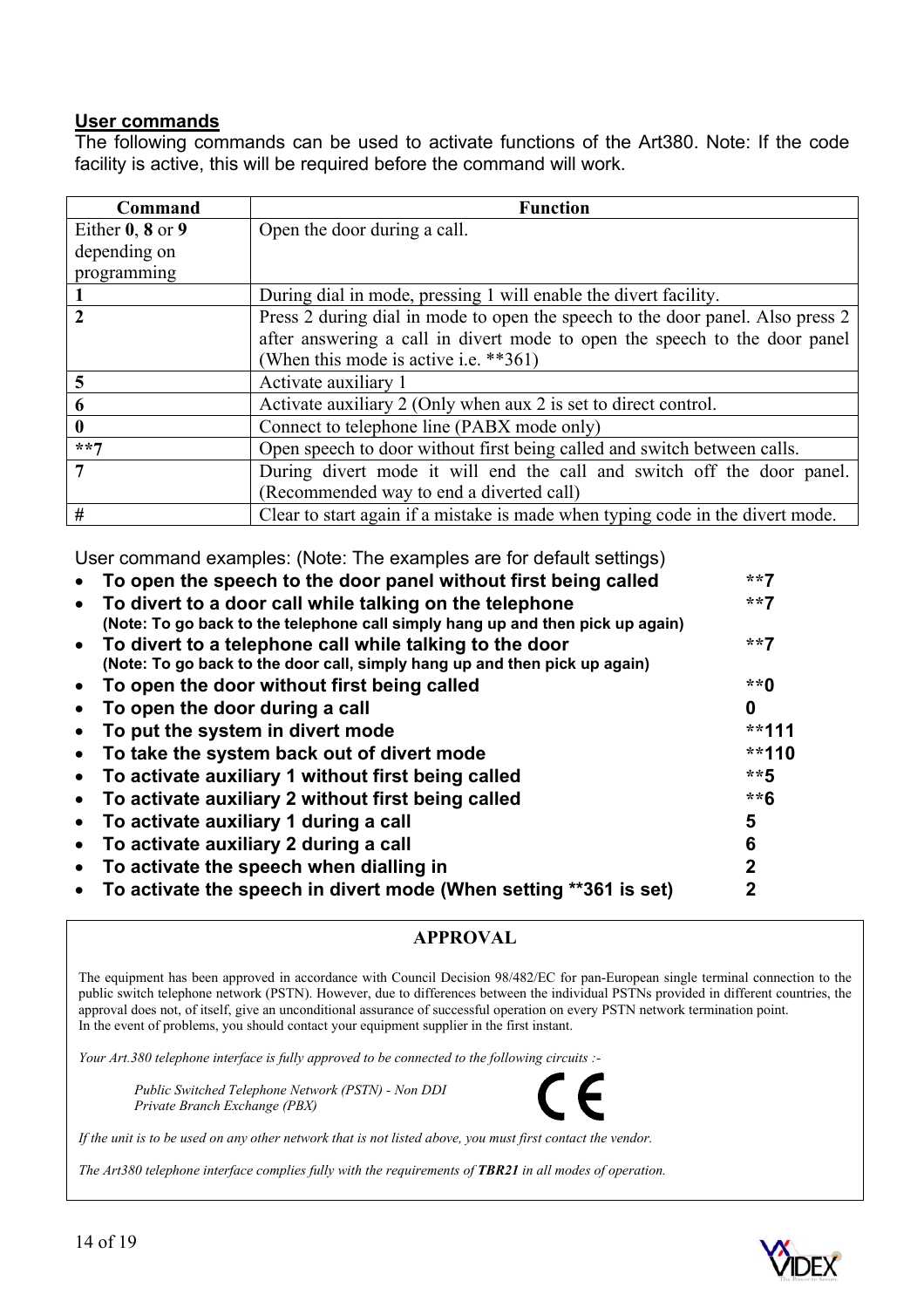## **User commands**

The following commands can be used to activate functions of the Art380. Note: If the code facility is active, this will be required before the command will work.

| Command              | <b>Function</b>                                                                |
|----------------------|--------------------------------------------------------------------------------|
| Either $0, 8$ or $9$ | Open the door during a call.                                                   |
| depending on         |                                                                                |
| programming          |                                                                                |
|                      | During dial in mode, pressing 1 will enable the divert facility.               |
| 2                    | Press 2 during dial in mode to open the speech to the door panel. Also press 2 |
|                      | after answering a call in divert mode to open the speech to the door panel     |
|                      | (When this mode is active i.e. $**361$ )                                       |
| 5                    | Activate auxiliary 1                                                           |
| 6                    | Activate auxiliary 2 (Only when aux 2 is set to direct control.                |
| 0                    | Connect to telephone line (PABX mode only)                                     |
| $***7$               | Open speech to door without first being called and switch between calls.       |
|                      | During divert mode it will end the call and switch off the door panel.         |
|                      | (Recommended way to end a diverted call)                                       |
| #                    | Clear to start again if a mistake is made when typing code in the divert mode. |

User command examples: (Note: The examples are for default settings)

| To open the speech to the door panel without first being called                                                                           | **7     |
|-------------------------------------------------------------------------------------------------------------------------------------------|---------|
| To divert to a door call while talking on the telephone<br>(Note: To go back to the telephone call simply hang up and then pick up again) | $***7$  |
| • To divert to a telephone call while talking to the door<br>(Note: To go back to the door call, simply hang up and then pick up again)   | **7     |
| To open the door without first being called                                                                                               | $**0$   |
| To open the door during a call                                                                                                            | 0       |
| To put the system in divert mode                                                                                                          | **111   |
| To take the system back out of divert mode                                                                                                | $**110$ |
| To activate auxiliary 1 without first being called                                                                                        | $***$ 5 |
| To activate auxiliary 2 without first being called                                                                                        | **6     |
| To activate auxiliary 1 during a call                                                                                                     | 5       |
| To activate auxiliary 2 during a call                                                                                                     | 6       |
| To activate the speech when dialling in                                                                                                   | 2       |
| To activate the speech in divert mode (When setting **361 is set)                                                                         | 2       |
|                                                                                                                                           |         |

## **APPROVAL**

The equipment has been approved in accordance with Council Decision 98/482/EC for pan-European single terminal connection to the public switch telephone network (PSTN). However, due to differences between the individual PSTNs provided in different countries, the approval does not, of itself, give an unconditional assurance of successful operation on every PSTN network termination point. In the event of problems, you should contact your equipment supplier in the first instant.

*Your Art.380 telephone interface is fully approved to be connected to the following circuits :-* 

 *Public Switched Telephone Network (PSTN) - Non DDI Private Branch Exchange (PBX)* 

*If the unit is to be used on any other network that is not listed above, you must first contact the vendor.* 

*The Art380 telephone interface complies fully with the requirements of TBR21 in all modes of operation.* 

![](_page_13_Picture_11.jpeg)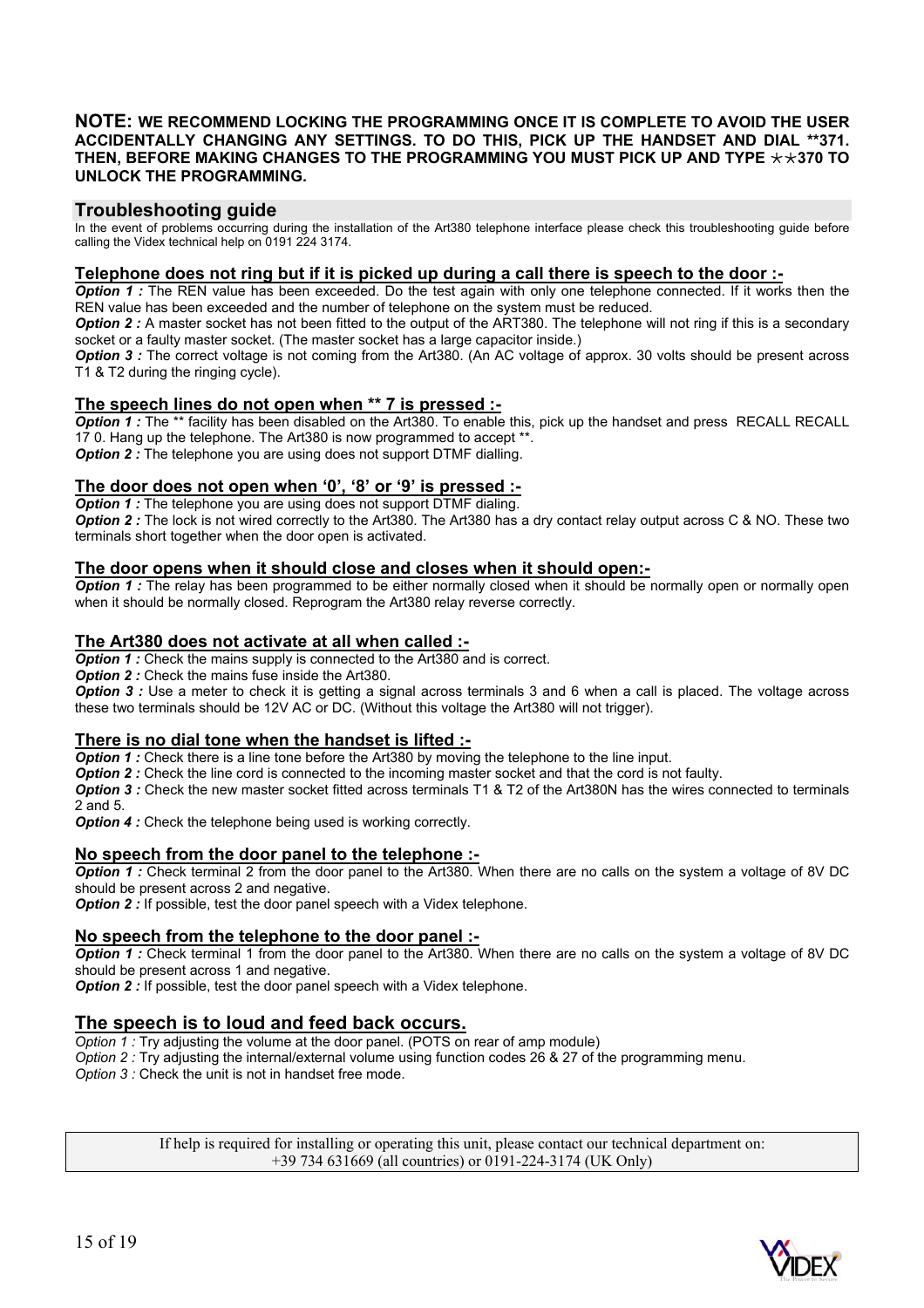#### **NOTE: WE RECOMMEND LOCKING THE PROGRAMMING ONCE IT IS COMPLETE TO AVOID THE USER ACCIDENTALLY CHANGING ANY SETTINGS. TO DO THIS, PICK UP THE HANDSET AND DIAL \*\*371.**  THEN, BEFORE MAKING CHANGES TO THE PROGRAMMING YOU MUST PICK UP AND TYPE  $\star\star$ 370 TO **UNLOCK THE PROGRAMMING.**

#### **Troubleshooting guide**

In the event of problems occurring during the installation of the Art380 telephone interface please check this troubleshooting guide before calling the Videx technical help on 0191 224 3174.

#### **Telephone does not ring but if it is picked up during a call there is speech to the door :-**

*Option 1 :* The REN value has been exceeded. Do the test again with only one telephone connected. If it works then the REN value has been exceeded and the number of telephone on the system must be reduced.

*Option 2 :* A master socket has not been fitted to the output of the ART380. The telephone will not ring if this is a secondary socket or a faulty master socket. (The master socket has a large capacitor inside.)

*Option 3 :* The correct voltage is not coming from the Art380. (An AC voltage of approx. 30 volts should be present across T1 & T2 during the ringing cycle).

#### **The speech lines do not open when \*\* 7 is pressed :-**

**Option 1**: The \*\* facility has been disabled on the Art380. To enable this, pick up the handset and press RECALL RECALL 17 0. Hang up the telephone. The Art380 is now programmed to accept \*\*. *Option 2 :* The telephone you are using does not support DTMF dialling.

#### **The door does not open when '0', '8' or '9' is pressed :-**

**Option 1** : The telephone you are using does not support DTMF dialing. **Option 2 :** The lock is not wired correctly to the Art380. The Art380 has a dry contact relay output across C & NO. These two terminals short together when the door open is activated.

#### **The door opens when it should close and closes when it should open:-**

**Option 1** : The relay has been programmed to be either normally closed when it should be normally open or normally open when it should be normally closed. Reprogram the Art380 relay reverse correctly.

#### **The Art380 does not activate at all when called :-**

**Option 1 :** Check the mains supply is connected to the Art380 and is correct.

**Option 2:** Check the mains fuse inside the Art380.

**Option 3** : Use a meter to check it is getting a signal across terminals 3 and 6 when a call is placed. The voltage across these two terminals should be 12V AC or DC. (Without this voltage the Art380 will not trigger).

#### **There is no dial tone when the handset is lifted :-**

**Option 1 :** Check there is a line tone before the Art380 by moving the telephone to the line input.

*Option 2 :* Check the line cord is connected to the incoming master socket and that the cord is not faulty.

*Option 3 :* Check the new master socket fitted across terminals T1 & T2 of the Art380N has the wires connected to terminals 2 and 5.

**Option 4:** Check the telephone being used is working correctly.

#### **No speech from the door panel to the telephone :-**

*Option 1 :* Check terminal 2 from the door panel to the Art380. When there are no calls on the system a voltage of 8V DC should be present across 2 and negative.

*Option 2 :* If possible, test the door panel speech with a Videx telephone.

#### **No speech from the telephone to the door panel :-**

*Option 1 :* Check terminal 1 from the door panel to the Art380. When there are no calls on the system a voltage of 8V DC should be present across 1 and negative.

*Option 2 :* If possible, test the door panel speech with a Videx telephone.

#### **The speech is to loud and feed back occurs.**

*Option 1 :* Try adjusting the volume at the door panel. (POTS on rear of amp module)

*Option 2 :* Try adjusting the internal/external volume using function codes 26 & 27 of the programming menu.

*Option 3 :* Check the unit is not in handset free mode.

If help is required for installing or operating this unit, please contact our technical department on: +39 734 631669 (all countries) or 0191-224-3174 (UK Only)

![](_page_14_Picture_33.jpeg)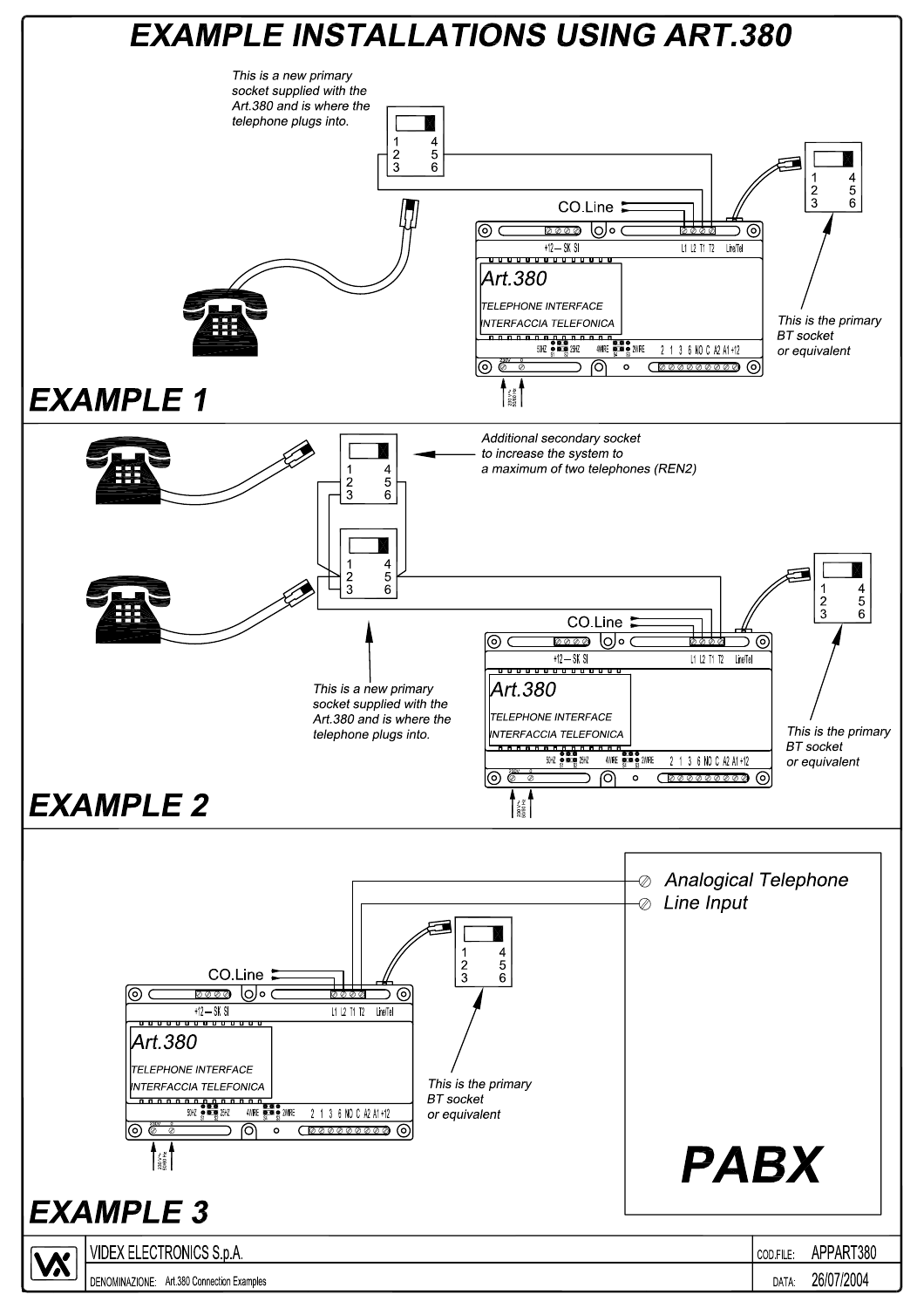![](_page_15_Figure_0.jpeg)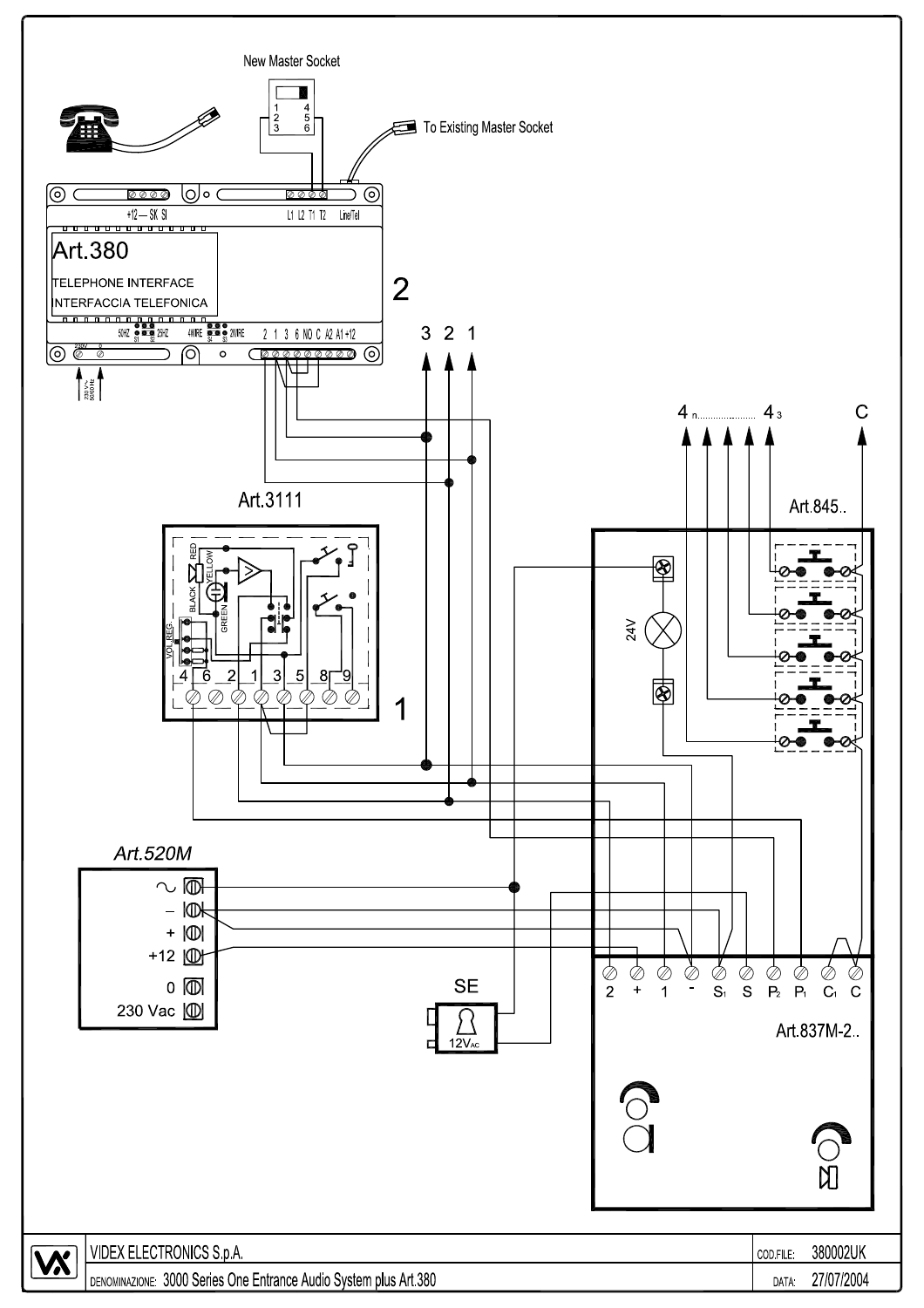![](_page_16_Figure_0.jpeg)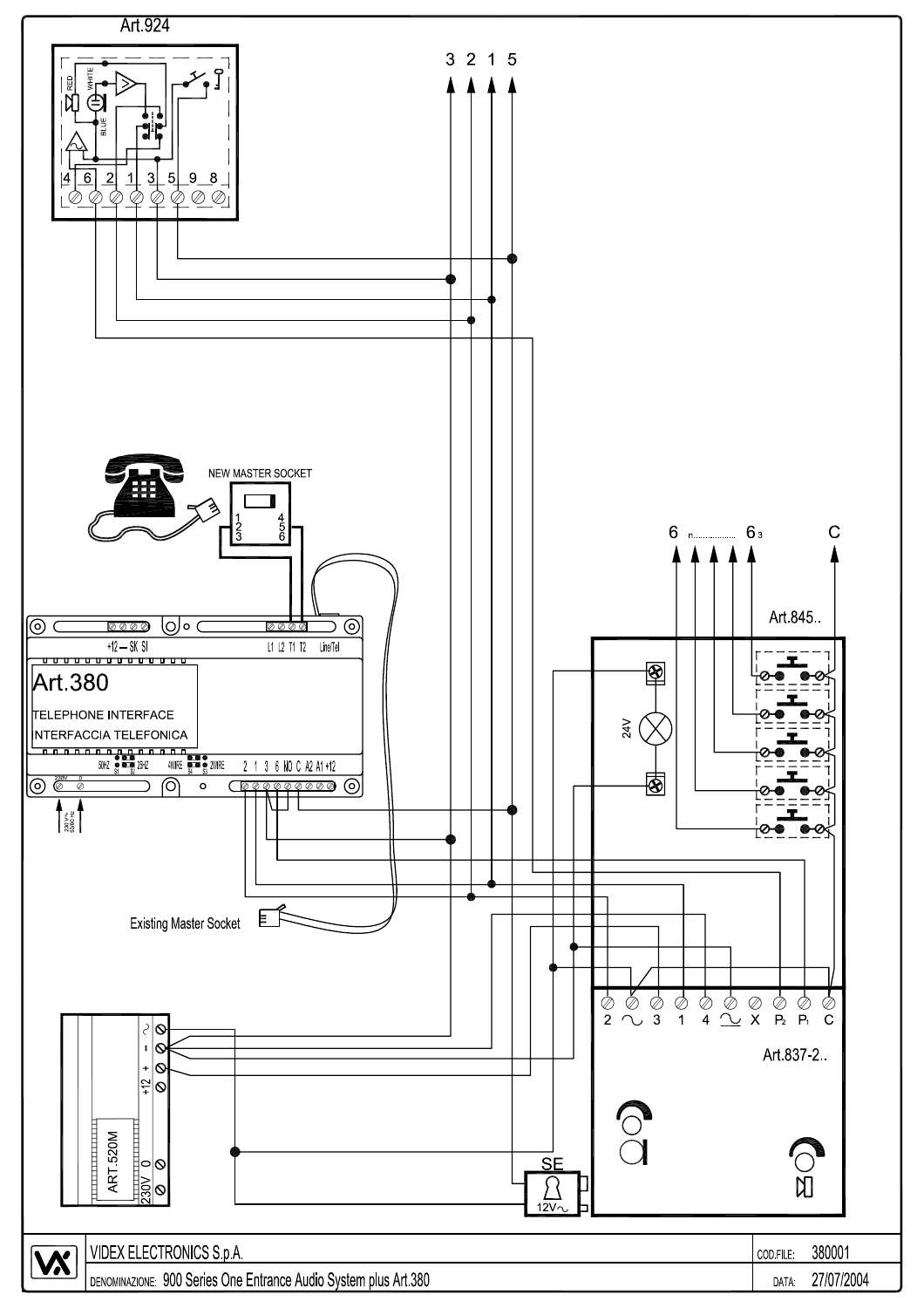![](_page_17_Figure_0.jpeg)